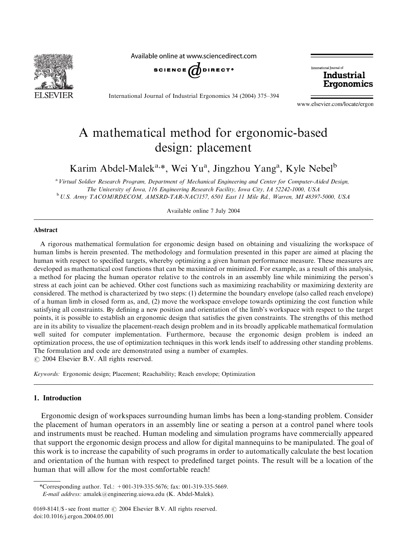

Available online at www.sciencedirect.com



International Tournal of Industrial Ergonomics

International Journal of Industrial Ergonomics 34 (2004) 375–394

www.elsevier.com/locate/ergon

# A mathematical method for ergonomic-based design: placement

Karim Abdel-Malek<sup>a,\*</sup>, Wei Yu<sup>a</sup>, Jingzhou Yang<sup>a</sup>, Kyle Nebel<sup>b</sup>

<sup>a</sup> Virtual Soldier Research Program, Department of Mechanical Engineering and Center for Computer-Aided Design, The University of Iowa, 116 Engineering Research Facility, Iowa City, IA 52242-1000, USA <sup>b</sup>U.S. Army TACOM/RDECOM, AMSRD-TAR-NAC/157, 6501 East 11 Mile Rd., Warren, MI 48397-5000, USA

Available online 7 July 2004

## Abstract

A rigorous mathematical formulation for ergonomic design based on obtaining and visualizing the workspace of human limbs is herein presented. The methodology and formulation presented in this paper are aimed at placing the human with respect to specified targets, whereby optimizing a given human performance measure. These measures are developed as mathematical cost functions that can be maximized or minimized. For example, as a result of this analysis, a method for placing the human operator relative to the controls in an assembly line while minimizing the person's stress at each joint can be achieved. Other cost functions such as maximizing reachability or maximizing dexterity are considered. The method is characterized by two steps: (1) determine the boundary envelope (also called reach envelope) of a human limbin closed form as, and, (2) move the workspace envelope towards optimizing the cost function while satisfying all constraints. By defining a new position and orientation of the limb's workspace with respect to the target points, it is possible to establish an ergonomic design that satisfies the given constraints. The strengths of this method are in its ability to visualize the placement-reach design problem and in its broadly applicable mathematical formulation well suited for computer implementation. Furthermore, because the ergonomic design problem is indeed an optimization process, the use of optimization techniques in this work lends itself to addressing other standing problems. The formulation and code are demonstrated using a number of examples.

 $O$  2004 Elsevier B.V. All rights reserved.

Keywords: Ergonomic design; Placement; Reachability; Reach envelope; Optimization

# 1. Introduction

Ergonomic design of workspaces surrounding human limbs has been a long-standing problem. Consider the placement of human operators in an assembly line or seating a person at a control panel where tools and instruments must be reached. Human modeling and simulation programs have commercially appeared that support the ergonomic design process and allow for digital mannequins to be manipulated. The goal of this work is to increase the capability of such programs in order to automatically calculate the best location and orientation of the human with respect to predefined target points. The result will be a location of the human that will allow for the most comfortable reach!

<sup>\*</sup>Corresponding author. Tel.: +001-319-335-5676; fax: 001-319-335-5669. E-mail address: amalek@engineering.uiowa.edu (K. Abdel-Malek).

<sup>0169-8141/\$ -</sup> see front matter  $\odot$  2004 Elsevier B.V. All rights reserved. doi:10.1016/j.ergon.2004.05.001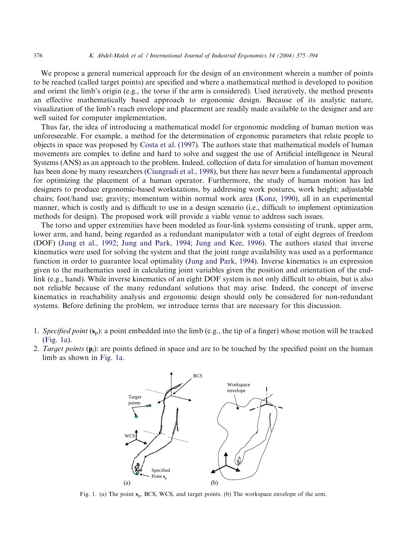We propose a general numerical approach for the design of an environment wherein a number of points to be reached (called target points) are specified and where a mathematical method is developed to position and orient the limb's origin (e.g., the torso if the arm is considered). Used iteratively, the method presents an effective mathematically based approach to ergonomic design. Because of its analytic nature, visualization of the limb's reach envelope and placement are readily made available to the designer and are well suited for computer implementation.

Thus far, the idea of introducing a mathematical model for ergonomic modeling of human motion was unforeseeable. For example, a method for the determination of ergonomic parameters that relate people to objects in space was proposed by [Costa et al. \(1997\)](#page-19-0). The authors state that mathematical models of human movements are complex to define and hard to solve and suggest the use of Artificial intelligence in Neural Systems (ANS) as an approach to the problem. Indeed, collection of data for simulation of human movement has been done by many researchers [\(Ciungradi et al., 1998\)](#page-19-0), but there has never been a fundamental approach for optimizing the placement of a human operator. Furthermore, the study of human motion has led designers to produce ergonomic-based workstations, by addressing work postures, work height; adjustable chairs; foot/hand use; gravity; momentum within normal work area [\(Konz, 1990\)](#page-19-0), all in an experimental manner, which is costly and is difficult to use in a design scenario (i.e., difficult to implement optimization methods for design). The proposed work will provide a viable venue to address such issues.

The torso and upper extremities have been modeled as four-link systems consisting of trunk, upper arm, lower arm, and hand, being regarded as a redundant manipulator with a total of eight degrees of freedom (DOF) ([Jung et al., 1992;](#page-19-0) [Jung and Park, 1994;](#page-19-0) [Jung and Kee, 1996\)](#page-19-0). The authors stated that inverse kinematics were used for solving the system and that the joint range availability was used as a performance function in order to guarantee local optimality [\(Jung and Park, 1994](#page-19-0)). Inverse kinematics is an expression given to the mathematics used in calculating joint variables given the position and orientation of the endlink (e.g., hand). While inverse kinematics of an eight DOF system is not only difficult to obtain, but is also not reliable because of the many redundant solutions that may arise. Indeed, the concept of inverse kinematics in reachability analysis and ergonomic design should only be considered for non-redundant systems. Before defining the problem, we introduce terms that are necessary for this discussion.

- 1. Specified point  $(s_n)$ : a point embedded into the limb (e.g., the tip of a finger) whose motion will be tracked (Fig. 1a).
- 2. Target points  $(p_i)$ : are points defined in space and are to be touched by the specified point on the human limb as shown in Fig. 1a.



Fig. 1. (a) The point  $s_p$ , BCS, WCS, and target points. (b) The workspace envelope of the arm.

<span id="page-1-0"></span>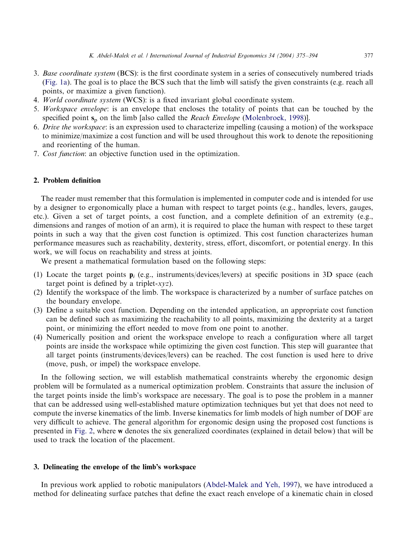- 3. Base coordinate system (BCS): is the first coordinate system in a series of consecutively numbered triads [\(Fig. 1a\)](#page-1-0). The goal is to place the BCS such that the limbwill satisfy the given constraints (e.g. reach all points, or maximize a given function).
- 4. World coordinate system (WCS): is a fixed invariant global coordinate system.
- 5. Workspace envelope: is an envelope that encloses the totality of points that can be touched by the specified point  $s_p$  on the limb [also called the *Reach Envelope* ([Molenbroek, 1998](#page-19-0))].
- 6. Drive the workspace: is an expression used to characterize impelling (causing a motion) of the workspace to minimize/maximize a cost function and will be used throughout this work to denote the repositioning and reorienting of the human.
- 7. Cost function: an objective function used in the optimization.

# 2. Problem definition

The reader must remember that this formulation is implemented in computer code and is intended for use by a designer to ergonomically place a human with respect to target points (e.g., handles, levers, gauges, etc.). Given a set of target points, a cost function, and a complete definition of an extremity (e.g., dimensions and ranges of motion of an arm), it is required to place the human with respect to these target points in such a way that the given cost function is optimized. This cost function characterizes human performance measures such as reachability, dexterity, stress, effort, discomfort, or potential energy. In this work, we will focus on reachability and stress at joints.

We present a mathematical formulation based on the following steps:

- (1) Locate the target points  $p_i$  (e.g., instruments/devices/levers) at specific positions in 3D space (each target point is defined by a triplet- $xyz$ ).
- (2) Identify the workspace of the limb. The workspace is characterized by a number of surface patches on the boundary envelope.
- (3) Define a suitable cost function. Depending on the intended application, an appropriate cost function can be defined such as maximizing the reachability to all points, maximizing the dexterity at a target point, or minimizing the effort needed to move from one point to another.
- (4) Numerically position and orient the workspace envelope to reach a configuration where all target points are inside the workspace while optimizing the given cost function. This step will guarantee that all target points (instruments/devices/levers) can be reached. The cost function is used here to drive (move, push, or impel) the workspace envelope.

In the following section, we will establish mathematical constraints whereby the ergonomic design problem will be formulated as a numerical optimization problem. Constraints that assure the inclusion of the target points inside the limb's workspace are necessary. The goal is to pose the problem in a manner that can be addressed using well-established mature optimization techniques but yet that does not need to compute the inverse kinematics of the limb. Inverse kinematics for limb models of high number of DOF are very difficult to achieve. The general algorithm for ergonomic design using the proposed cost functions is presented in [Fig. 2](#page-3-0), where w denotes the six generalized coordinates (explained in detail below) that will be used to track the location of the placement.

# 3. Delineating the envelope of the limb's workspace

In previous work applied to robotic manipulators ([Abdel-Malek and Yeh, 1997\)](#page-19-0), we have introduced a method for delineating surface patches that define the exact reach envelope of a kinematic chain in closed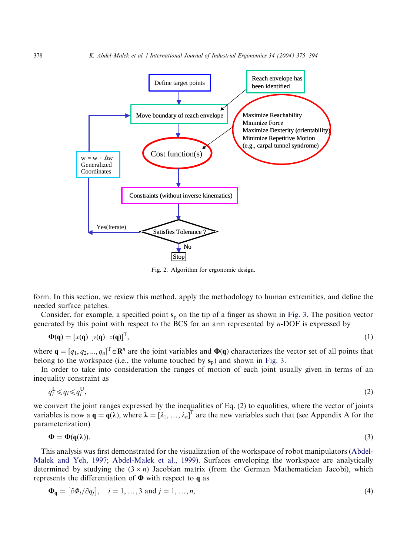<span id="page-3-0"></span>

Fig. 2. Algorithm for ergonomic design.

form. In this section, we review this method, apply the methodology to human extremities, and define the needed surface patches.

Consider, for example, a specified point  $s_p$  on the tip of a finger as shown in [Fig. 3.](#page-4-0) The position vector generated by this point with respect to the BCS for an arm represented by  $n$ -DOF is expressed by

$$
\mathbf{\Phi}(\mathbf{q}) = [x(\mathbf{q}) \ \ y(\mathbf{q}) \ \ z(\mathbf{q})]^{\mathrm{T}}, \tag{1}
$$

where  $\mathbf{q} = [q_1, q_2, ..., q_n]^\text{T} \in \mathbb{R}^n$  are the joint variables and  $\Phi(\mathbf{q})$  characterizes the vector set of all points that belong to the workspace (i.e., the volume touched by  $s_p$ ) and shown in [Fig. 3](#page-4-0).

In order to take into consideration the ranges of motion of each joint usually given in terms of an inequality constraint as

$$
q_i^{\mathrm{L}} \leqslant q_i \leqslant q_i^{\mathrm{U}},\tag{2}
$$

we convert the joint ranges expressed by the inequalities of Eq. (2) to equalities, where the vector of joints variables is now a  $\mathbf{q} = \mathbf{q}(\lambda)$ , where  $\lambda = [\lambda_1, \dots, \lambda_n]^T$  are the new variables such that (see Appendix A for the parameterization)

$$
\Phi = \Phi(q(\lambda)).\tag{3}
$$

This analysis was first demonstrated for the visualization of the workspace of robot manipulators [\(Abdel-](#page-19-0)[Malek and Yeh, 1997;](#page-19-0) [Abdel-Malek et al., 1999\)](#page-19-0). Surfaces enveloping the workspace are analytically determined by studying the  $(3 \times n)$  Jacobian matrix (from the German Mathematician Jacobi), which represents the differentiation of  $\Phi$  with respect to q as

$$
\mathbf{\Phi}_{\mathbf{q}} = [\partial \Phi_i / \partial q_j], \quad i = 1, ..., 3 \text{ and } j = 1, ..., n,
$$
\n(4)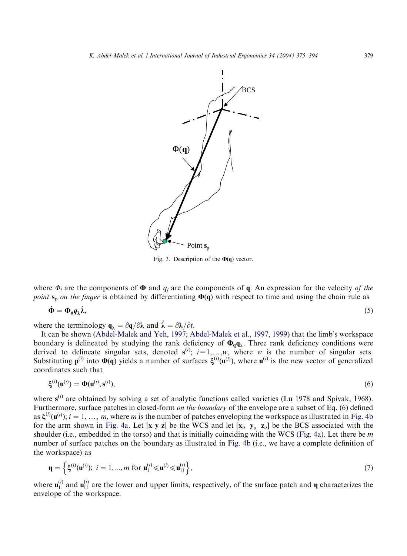<span id="page-4-0"></span>

Fig. 3. Description of the  $\Phi(q)$  vector.

where  $\Phi_i$  are the components of  $\Phi$  and  $q_i$  are the components of  $\phi$ . An expression for the velocity of the point  $s_p$  on the finger is obtained by differentiating  $\Phi(q)$  with respect to time and using the chain rule as

$$
\dot{\Phi} = \Phi_q q_\lambda \dot{\lambda},\tag{5}
$$

where the terminology  $\mathbf{q}_i = \partial \mathbf{q}/\partial \lambda$  and  $\dot{\lambda} = \partial \lambda/\partial t$ .

It can be shown ([Abdel-Malek and Yeh, 1997;](#page-19-0) [Abdel-Malek et al., 1997, 1999](#page-19-0)) that the limb's workspace boundary is delineated by studying the rank deficiency of  $\Phi_{q}q_{\lambda}$ . Three rank deficiency conditions were derived to delineate singular sets, denoted  $s^{(i)}$ ;  $i=1,\dots,w$ , where w is the number of singular sets. Substituting  $p^{(i)}$  into  $\Phi(q)$  yields a number of surfaces  $\xi^{(i)}(\mathbf{u}^{(i)})$ , where  $\mathbf{u}^{(i)}$  is the new vector of generalized coordinates such that

$$
\xi^{(i)}(\mathbf{u}^{(i)}) = \mathbf{\Phi}(\mathbf{u}^{(i)}, \mathbf{s}^{(i)}),\tag{6}
$$

where  $s^{(i)}$  are obtained by solving a set of analytic functions called varieties (Lu 1978 and Spivak, 1968). Furthermore, surface patches in closed-form *on the boundary* of the envelope are a subset of Eq. (6) defined as  $\xi^{(i)}(\mathbf{u}^{(i)}); i = 1, ..., m$ , where m is the number of patches enveloping the workspace as illustrated in [Fig. 4b](#page-5-0) for the arm shown in [Fig. 4a.](#page-5-0) Let  $[x, y]$  be the WCS and let  $[x_0, y_0, z_0]$  be the BCS associated with the shoulder (i.e., embedded in the torso) and that is initially coinciding with the WCS ([Fig. 4a\)](#page-5-0). Let there be m number of surface patches on the boundary as illustrated in [Fig. 4b](#page-5-0) (i.e., we have a complete definition of the workspace) as

$$
\mathbf{\eta} = \left\{ \xi^{(i)}(\mathbf{u}^{(i)}); \ i = 1, ..., m \text{ for } \mathbf{u}_L^{(i)} \leq \mathbf{u}^{(i)} \leq \mathbf{u}_U^{(i)} \right\},\tag{7}
$$

where  $\mathbf{u}_L^{(i)}$  and  $\mathbf{u}_U^{(i)}$  are the lower and upper limits, respectively, of the surface patch and  $\eta$  characterizes the envelope of the workspace.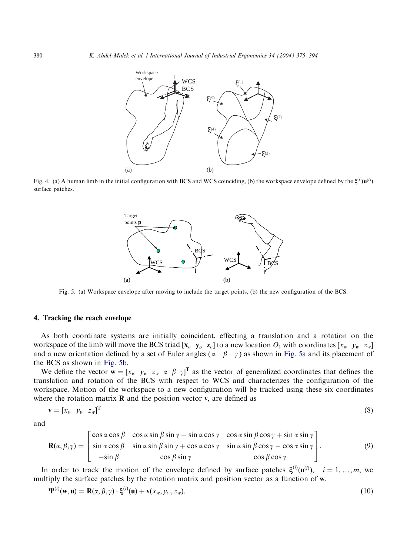

Fig. 4. (a) A human limb in the initial configuration with BCS and WCS coinciding, (b) the workspace envelope defined by the  $\xi^{(i)}(\mathbf{u}^{(i)})$ surface patches.



Fig. 5. (a) Workspace envelope after moving to include the target points, (b) the new configuration of the BCS.

#### 4. Tracking the reach envelope

As both coordinate systems are initially coincident, effecting a translation and a rotation on the workspace of the limb will move the BCS triad  $[x_0, y_0, z_0]$  to a new location  $O_1$  with coordinates  $[x_w, y_w, z_w]$ and a new orientation defined by a set of Euler angles  $(\alpha \beta \gamma)$  as shown in Fig. 5a and its placement of the BCS as shown in Fig. 5b.

We define the vector  $\mathbf{w} = [x_w \ y_w \ z_w \ \alpha \ \beta \ \gamma]^\text{T}$  as the vector of generalized coordinates that defines the translation and rotation of the BCS with respect to WCS and characterizes the configuration of the workspace. Motion of the workspace to a new configuration will be tracked using these six coordinates where the rotation matrix  **and the position vector**  $**v**$ **, are defined as** 

$$
\mathbf{v} = \begin{bmatrix} x_w & y_w & z_w \end{bmatrix}^\mathrm{T} \tag{8}
$$

and

$$
\mathbf{R}(\alpha,\beta,\gamma) = \begin{bmatrix} \cos\alpha\cos\beta & \cos\alpha\sin\beta\sin\gamma - \sin\alpha\cos\gamma & \cos\alpha\sin\beta\cos\gamma + \sin\alpha\sin\gamma \\ \sin\alpha\cos\beta & \sin\alpha\sin\beta\sin\gamma + \cos\alpha\cos\gamma & \sin\alpha\sin\beta\cos\gamma - \cos\alpha\sin\gamma \\ -\sin\beta & \cos\beta\sin\gamma & \cos\beta\cos\gamma \end{bmatrix}.
$$
 (9)

In order to track the motion of the envelope defined by surface patches  $\xi^{(i)}(\mathbf{u}^{(i)})$ ,  $i = 1, ..., m$ , we multiply the surface patches by the rotation matrix and position vector as a function of w.

$$
\mathbf{\Psi}^{(i)}(\mathbf{w},\mathbf{u}) = \mathbf{R}(\alpha,\beta,\gamma) \cdot \xi^{(i)}(\mathbf{u}) + \mathbf{v}(x_w,y_w,z_w). \tag{10}
$$

<span id="page-5-0"></span>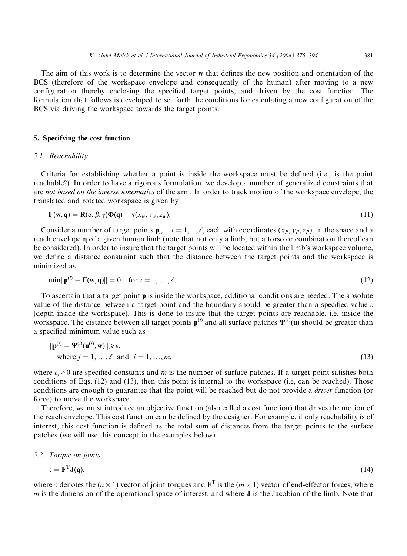The aim of this work is to determine the vector w that defines the new position and orientation of the BCS (therefore of the workspace envelope and consequently of the human) after moving to a new configuration thereby enclosing the specified target points, and driven by the cost function. The formulation that follows is developed to set forth the conditions for calculating a new configuration of the BCS via driving the workspace towards the target points.

## 5. Specifying the cost function

## 5.1. Reachability

Criteria for establishing whether a point is inside the workspace must be defined (i.e., is the point reachable?). In order to have a rigorous formulation, we develop a number of generalized constraints that are not based on the inverse kinematics of the arm. In order to track motion of the workspace envelope, the translated and rotated workspace is given by

$$
\Gamma(\mathbf{w}, \mathbf{q}) = \mathbf{R}(\alpha, \beta, \gamma) \mathbf{\Phi}(\mathbf{q}) + \mathbf{v}(x_w, y_w, z_w). \tag{11}
$$

Consider a number of target points  $\mathbf{p}_i$ ,  $i = 1, ..., \ell$ , each with coordinates  $(x_P, y_P, z_P)$  in the space and a reach envelope  $\eta$  of a given human limb (note that not only a limb, but a torso or combination thereof can be considered). In order to insure that the target points will be located within the limb's workspace volume, we define a distance constraint such that the distance between the target points and the workspace is minimized as

$$
\min \|\mathbf{p}^{(i)} - \Gamma(\mathbf{w}, \mathbf{q})\| = 0 \quad \text{for } i = 1, \dots, \ell. \tag{12}
$$

To ascertain that a target point p is inside the workspace, additional conditions are needed. The absolute value of the distance between a target point and the boundary should be greater than a specified value  $\varepsilon$ (depth inside the workspace). This is done to insure that the target points are reachable, i.e. inside the workspace. The distance between all target points  $p^{(j)}$  and all surface patches  $\Psi^{(i)}(u)$  should be greater than a specified minimum value such as

$$
\|\mathbf{p}^{(j)} - \mathbf{\Psi}^{(i)}(\mathbf{u}^{(i)}, \mathbf{w})\| \ge \varepsilon_j
$$
  
where  $j = 1, ..., \ell$  and  $i = 1, ..., m$ , (13)

where  $\varepsilon_i$  o are specified constants and m is the number of surface patches. If a target point satisfies both conditions of Eqs. (12) and (13), then this point is internal to the workspace (i.e, can be reached). Those conditions are enough to guarantee that the point will be reached but do not provide a *driver* function (or force) to move the workspace.

Therefore, we must introduce an objective function (also called a cost function) that drives the motion of the reach envelope. This cost function can be defined by the designer. For example, if only reachability is of interest, this cost function is defined as the total sum of distances from the target points to the surface patches (we will use this concept in the examples below).

## 5.2. Torque on joints

$$
\tau = \mathbf{F}^{\mathrm{T}} \mathbf{J}(\mathbf{q}),\tag{14}
$$

where  $\tau$  denotes the  $(n \times 1)$  vector of joint torques and  $F<sup>T</sup>$  is the  $(m \times 1)$  vector of end-effector forces, where  $m$  is the dimension of the operational space of interest, and where  $J$  is the Jacobian of the limb. Note that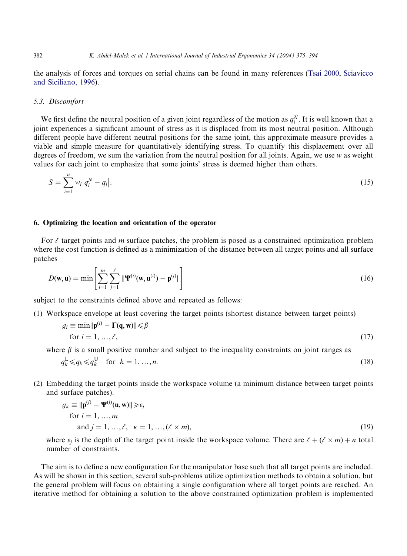the analysis of forces and torques on serial chains can be found in many references [\(Tsai 2000,](#page-19-0) [Sciavicco](#page-19-0) [and Siciliano, 1996\)](#page-19-0).

# 5.3. Discomfort

We first define the neutral position of a given joint regardless of the motion as  $q_i^N$ . It is well known that a joint experiences a significant amount of stress as it is displaced from its most neutral position. Although different people have different neutral positions for the same joint, this approximate measure provides a viable and simple measure for quantitatively identifying stress. To quantify this displacement over all degrees of freedom, we sum the variation from the neutral position for all joints. Again, we use  $w$  as weight values for each joint to emphasize that some joints' stress is deemed higher than others.

$$
S = \sum_{i=1}^{n} w_i |q_i^N - q_i|.
$$
 (15)

#### 6. Optimizing the location and orientation of the operator

For  $\ell$  target points and m surface patches, the problem is posed as a constrained optimization problem where the cost function is defined as a minimization of the distance between all target points and all surface patches

$$
D(\mathbf{w}, \mathbf{u}) = \min \left[ \sum_{i=1}^{m} \sum_{j=1}^{\ell} ||\mathbf{\Psi}^{(i)}(\mathbf{w}, \mathbf{u}^{(i)}) - \mathbf{p}^{(j)}|| \right]
$$
(16)

subject to the constraints defined above and repeated as follows:

(1) Workspace envelope at least covering the target points (shortest distance between target points)

$$
g_i \equiv \min \|\mathbf{p}^{(i)} - \Gamma(\mathbf{q}, \mathbf{w})\| \leq \beta
$$
  
for  $i = 1, ..., \ell$ , (17)

where  $\beta$  is a small positive number and subject to the inequality constraints on joint ranges as

$$
q_k^{\mathcal{L}} \leqslant q_k \leqslant q_k^{\mathcal{U}} \quad \text{for } k = 1, \dots, n. \tag{18}
$$

(2) Embedding the target points inside the workspace volume (a minimum distance between target points and surface patches).

$$
g_{\kappa} \equiv ||\mathbf{p}^{(j)} - \mathbf{\Psi}^{(i)}(\mathbf{u}, \mathbf{w})|| \ge \varepsilon_j
$$
  
for  $i = 1, ..., m$   
and  $j = 1, ..., \ell, \kappa = 1, ..., (\ell \times m),$  (19)

where  $\varepsilon_i$  is the depth of the target point inside the workspace volume. There are  $\ell + (\ell \times m) + n$  total number of constraints.

The aim is to define a new configuration for the manipulator base such that all target points are included. As will be shown in this section, several sub-problems utilize optimization methods to obtain a solution, but the general problem will focus on obtaining a single configuration where all target points are reached. An iterative method for obtaining a solution to the above constrained optimization problem is implemented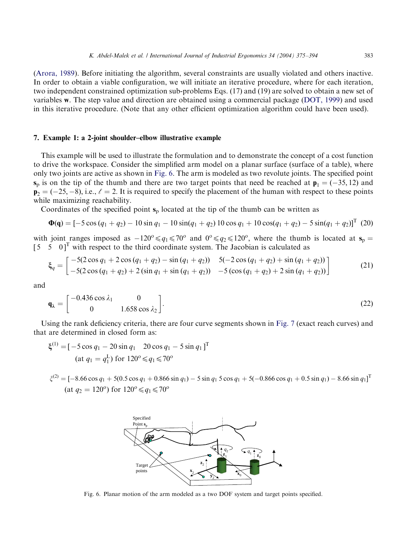[\(Arora, 1989\)](#page-19-0). Before initiating the algorithm, several constraints are usually violated and others inactive. In order to obtain a viable configuration, we will initiate an iterative procedure, where for each iteration, two independent constrained optimization sub-problems Eqs. (17) and (19) are solved to obtain a new set of variables w. The step value and direction are obtained using a commercial package [\(DOT, 1999\)](#page-19-0) and used in this iterative procedure. (Note that any other efficient optimization algorithm could have been used).

## 7. Example 1: a 2-joint shoulder–elbow illustrative example

This example will be used to illustrate the formulation and to demonstrate the concept of a cost function to drive the workspace. Consider the simplified arm model on a planar surface (surface of a table), where only two joints are active as shown in Fig. 6. The arm is modeled as two revolute joints. The specified point  $s_p$  is on the tip of the thumb and there are two target points that need be reached at  $\mathbf{p}_1 = (-35, 12)$  and  $p_2 = (-25, -8)$ , i.e.,  $\ell = 2$ . It is required to specify the placement of the human with respect to these points while maximizing reachability.

Coordinates of the specified point  $s_p$  located at the tip of the thumb can be written as

$$
\Phi(q) = [-5\cos(q_1+q_2)-10\sin q_1-10\sin(q_1+q_2)10\cos q_1+10\cos(q_1+q_2)-5\sin(q_1+q_2)]^{\mathrm{T}} (20)
$$

with joint ranges imposed as  $-120^\circ \leq q_1 \leq 70^\circ$  and  $0^\circ \leq q_2 \leq 120^\circ$ , where the thumb is located at  $s_p =$  $\begin{bmatrix} 5 & 5 & 0 \end{bmatrix}^T$  with respect to the third coordinate system. The Jacobian is calculated as

$$
\xi_q = \begin{bmatrix} -5(2\cos q_1 + 2\cos (q_1 + q_2) - \sin (q_1 + q_2)) & 5(-2\cos (q_1 + q_2) + \sin (q_1 + q_2)) \\ -5(2\cos (q_1 + q_2) + 2(\sin q_1 + \sin (q_1 + q_2)) & -5(\cos (q_1 + q_2) + 2\sin (q_1 + q_2)) \end{bmatrix}
$$
(21)

and

$$
\mathbf{q}_{\lambda} = \begin{bmatrix} -0.436 \cos \lambda_1 & 0 \\ 0 & 1.658 \cos \lambda_2 \end{bmatrix} .
$$
 (22)

Using the rank deficiency criteria, there are four curve segments shown in [Fig. 7](#page-9-0) (exact reach curves) and that are determined in closed form as:

$$
\xi^{(1)} = [-5\cos q_1 - 20\sin q_1 \quad 20\cos q_1 - 5\sin q_1]^T
$$
  
(at  $q_1 = q_1^L$ ) for  $120^\circ \le q_1 \le 70^\circ$ 

 $\zeta^{(2)} = [-8.66 \cos q_1 + 5(0.5 \cos q_1 + 0.866 \sin q_1) - 5 \sin q_1 5 \cos q_1 + 5(-0.866 \cos q_1 + 0.5 \sin q_1) - 8.66 \sin q_1]^{\text{T}}$ (at  $q_2 = 120^{\circ}$ ) for  $120^{\circ} \leq q_1 \leq 70^{\circ}$ 



Fig. 6. Planar motion of the arm modeled as a two DOF system and target points specified.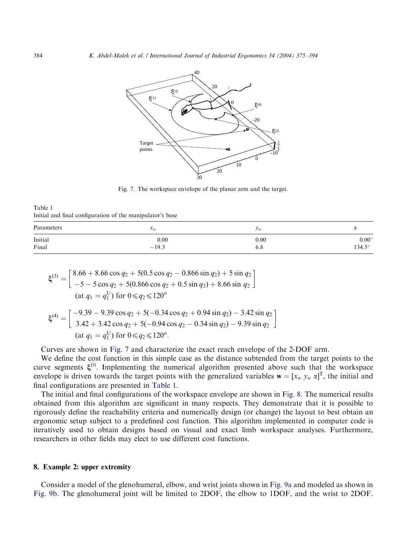<span id="page-9-0"></span>

Fig. 7. The workspace envelope of the planar arm and the target.

Table 1 Initial and final configuration of the manipulator's base

| Parameters | $x_w$   | Уw   | w               |
|------------|---------|------|-----------------|
| Initial    | 0.00    | 0.00 | $0.00^\circ$    |
| Final      | $-19.3$ | 6.8  | $134.5^{\circ}$ |

$$
\xi^{(3)} = \begin{bmatrix} 8.66 + 8.66 \cos q_2 + 5(0.5 \cos q_2 - 0.866 \sin q_2) + 5 \sin q_2 \\ -5 - 5 \cos q_2 + 5(0.866 \cos q_2 + 0.5 \sin q_2) + 8.66 \sin q_2 \end{bmatrix}
$$
  
(at  $q_1 = q_1^{U}$ ) for  $0 \le q_2 \le 120^\circ$ 

$$
\xi^{(4)} = \begin{bmatrix} -9.39 - 9.39 \cos q_2 + 5(-0.34 \cos q_2 + 0.94 \sin q_2) - 3.42 \sin q_2 \\ 3.42 + 3.42 \cos q_2 + 5(-0.94 \cos q_2 - 0.34 \sin q_2) - 9.39 \sin q_2 \end{bmatrix}
$$
  
(at  $q_1 = q_1^{U}$ ) for  $0 \le q_2 \le 120^\circ$ .

Curves are shown in Fig. 7 and characterize the exact reach envelope of the 2-DOF arm.

We define the cost function in this simple case as the distance subtended from the target points to the curve segments  $\xi^{(i)}$ . Implementing the numerical algorithm presented above such that the workspace envelope is driven towards the target points with the generalized variables  $\mathbf{w} = [x_w, y_w, \alpha]^\text{T}$ , the initial and final configurations are presented in Table 1.

The initial and final configurations of the workspace envelope are shown in [Fig. 8](#page-10-0). The numerical results obtained from this algorithm are significant in many respects. They demonstrate that it is possible to rigorously define the reachability criteria and numerically design (or change) the layout to best obtain an ergonomic setup subject to a predefined cost function. This algorithm implemented in computer code is iteratively used to obtain designs based on visual and exact limb workspace analyses. Furthermore, researchers in other fields may elect to use different cost functions.

# 8. Example 2: upper extremity

Consider a model of the glenohumeral, elbow, and wrist joints shown in [Fig. 9a](#page-10-0) and modeled as shown in [Fig. 9b](#page-10-0). The glenohumeral joint will be limited to 2DOF, the elbow to 1DOF, and the wrist to 2DOF.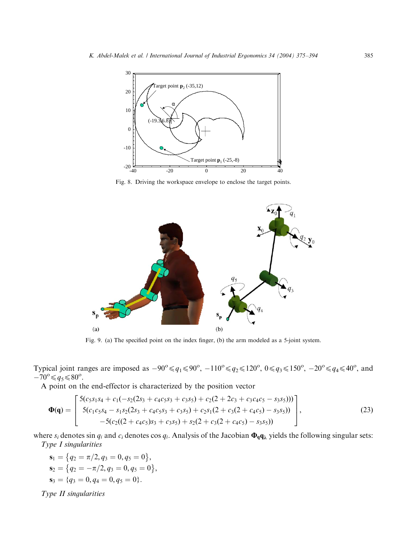<span id="page-10-0"></span>

Fig. 8. Driving the workspace envelope to enclose the target points.



Fig. 9. (a) The specified point on the index finger, (b) the arm modeled as a 5-joint system.

Typical joint ranges are imposed as  $-90^{\circ} \leq q_1 \leq 90^{\circ}$ ,  $-110^{\circ} \leq q_2 \leq 120^{\circ}$ ,  $0 \leq q_3 \leq 150^{\circ}$ ,  $-20^{\circ} \leq q_4 \leq 40^{\circ}$ , and  $-70^{\circ} \leqslant q_5 \leqslant 80^{\circ}$ .

A point on the end-effector is characterized by the position vector

$$
\Phi(\mathbf{q}) = \begin{bmatrix} 5(c_5s_1s_4 + c_1(-s_2(2s_3 + c_4c_5s_3 + c_3s_5) + c_2(2 + 2c_3 + c_3c_4c_5 - s_3s_5))) \\ 5(c_1c_5s_4 - s_1s_2(2s_3 + c_4c_5s_3 + c_3s_5) + c_2s_1(2 + c_3(2 + c_4c_5) - s_3s_5)) \\ -5(c_2((2 + c_4c_5)s_3 + c_3s_5) + s_2(2 + c_3(2 + c_4c_5) - s_3s_5)) \end{bmatrix},
$$
\n(23)

where  $s_i$  denotes sin  $q_i$  and  $c_i$  denotes cos  $q_i$ . Analysis of the Jacobian  $\Phi_q q_\lambda$  yields the following singular sets: Type I singularities

$$
\mathbf{s}_1 = \{q_2 = \pi/2, q_3 = 0, q_5 = 0\},
$$
  
\n
$$
\mathbf{s}_2 = \{q_2 = -\pi/2, q_3 = 0, q_5 = 0\},
$$
  
\n
$$
\mathbf{s}_3 = \{q_3 = 0, q_4 = 0, q_5 = 0\}.
$$

Type II singularities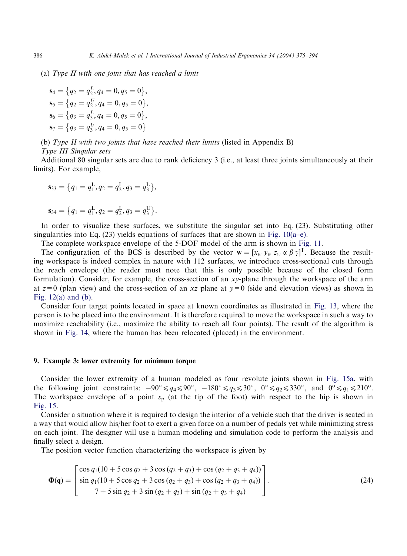(a) Type II with one joint that has reached a limit

$$
\mathbf{s}_4 = \{q_2 = q_2^L, q_4 = 0, q_5 = 0\},
$$
  
\n
$$
\mathbf{s}_5 = \{q_2 = q_2^U, q_4 = 0, q_5 = 0\},
$$
  
\n
$$
\mathbf{s}_6 = \{q_3 = q_5^L, q_4 = 0, q_5 = 0\},
$$
  
\n
$$
\mathbf{s}_7 = \{q_3 = q_3^U, q_4 = 0, q_5 = 0\}
$$

(b) Type II with two joints that have reached their limits (listed in Appendix B)

## Type III Singular sets

Additional 80 singular sets are due to rank deficiency 3 (i.e., at least three joints simultaneously at their limits). For example,

$$
\mathbf{s}_{33} = \{q_1 = q_1^L, q_2 = q_2^L, q_3 = q_3^L\},\
$$

$$
\mathbf{s}_{34} = \{q_1 = q_1^L, q_2 = q_2^L, q_3 = q_3^U\}.
$$

In order to visualize these surfaces, we substitute the singular set into Eq. (23). Substituting other singularities into Eq. (23) yields equations of surfaces that are shown in Fig.  $10(a-e)$ .

The complete workspace envelope of the 5-DOF model of the arm is shown in [Fig. 11.](#page-13-0)

The configuration of the BCS is described by the vector  $\mathbf{w} = [x_w, y_w, z_w \propto \beta \gamma]^T$ . Because the resulting workspace is indeed complex in nature with 112 surfaces, we introduce cross-sectional cuts through the reach envelope (the reader must note that this is only possible because of the closed form formulation). Consider, for example, the cross-section of an xy-plane through the workspace of the arm at  $z=0$  (plan view) and the cross-section of an xz plane at  $y=0$  (side and elevation views) as shown in [Fig. 12\(a\) and \(b\).](#page-13-0)

Consider four target points located in space at known coordinates as illustrated in [Fig. 13,](#page-14-0) where the person is to be placed into the environment. It is therefore required to move the workspace in such a way to maximize reachability (i.e., maximize the ability to reach all four points). The result of the algorithm is shown in [Fig. 14,](#page-14-0) where the human has been relocated (placed) in the environment.

# 9. Example 3: lower extremity for minimum torque

Consider the lower extremity of a human modeled as four revolute joints shown in [Fig. 15a](#page-15-0), with the following joint constraints:  $-90^\circ \leq q_4 \leq 90^\circ$ ,  $-180^\circ \leq q_3 \leq 30^\circ$ ,  $0^\circ \leq q_2 \leq 330^\circ$ , and  $0^\circ \leq q_1 \leq 210^\circ$ . The workspace envelope of a point  $s_p$  (at the tip of the foot) with respect to the hip is shown in [Fig. 15](#page-15-0).

Consider a situation where it is required to design the interior of a vehicle such that the driver is seated in a way that would allow his/her foot to exert a given force on a number of pedals yet while minimizing stress on each joint. The designer will use a human modeling and simulation code to perform the analysis and finally select a design.

The position vector function characterizing the workspace is given by

$$
\Phi(q) = \begin{bmatrix} \cos q_1(10+5\cos q_2+3\cos (q_2+q_3)+\cos (q_2+q_3+q_4)) \\ \sin q_1(10+5\cos q_2+3\cos (q_2+q_3)+\cos (q_2+q_3+q_4)) \\ 7+5\sin q_2+3\sin (q_2+q_3)+\sin (q_2+q_3+q_4) \end{bmatrix} .
$$
 (24)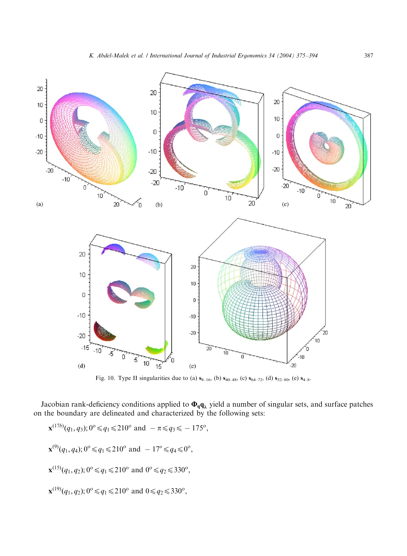<span id="page-12-0"></span>

Fig. 10. Type II singularities due to (a)  $s_{8-16}$ , (b)  $s_{40-48}$ , (c)  $s_{64-72}$ , (d)  $s_{32-80}$ , (e)  $s_{4-8}$ .

Jacobian rank-deficiency conditions applied to  $\Phi_{\neq} q_\lambda$  yield a number of singular sets, and surface patches on the boundary are delineated and characterized by the following sets:

$$
\mathbf{x}^{(17b)}(q_1, q_3); 0^{\circ} \leq q_1 \leq 210^{\circ} \text{ and } -\pi \leq q_3 \leq -175^{\circ},
$$
  
\n
$$
\mathbf{x}^{(9)}(q_1, q_4); 0^{\circ} \leq q_1 \leq 210^{\circ} \text{ and } -17^{\circ} \leq q_4 \leq 0^{\circ},
$$
  
\n
$$
\mathbf{x}^{(15)}(q_1, q_2); 0^{\circ} \leq q_1 \leq 210^{\circ} \text{ and } 0^{\circ} \leq q_2 \leq 330^{\circ},
$$
  
\n
$$
\mathbf{x}^{(19)}(q_1, q_2); 0^{\circ} \leq q_1 \leq 210^{\circ} \text{ and } 0 \leq q_2 \leq 330^{\circ},
$$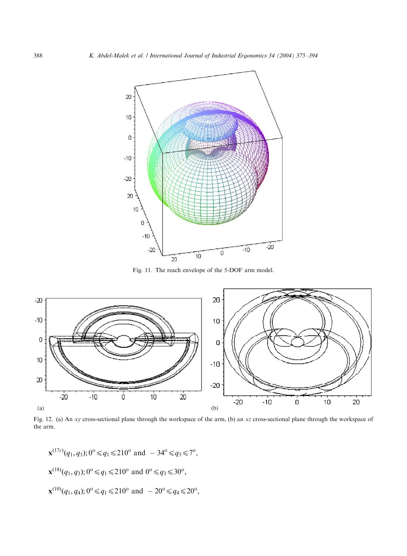<span id="page-13-0"></span>

Fig. 11. The reach envelope of the 5-DOF arm model.



Fig. 12. (a) An xy cross-sectional plane through the workspace of the arm, (b) an xz cross-sectional plane through the workspace of the arm.

$$
\mathbf{x}^{(17c)}(q_1, q_3); 0^{\circ} \leq q_1 \leq 210^{\circ} \text{ and } -34^{\circ} \leq q_3 \leq 7^{\circ},
$$
  

$$
\mathbf{x}^{(18)}(q_1, q_3); 0^{\circ} \leq q_1 \leq 210^{\circ} \text{ and } 0^{\circ} \leq q_3 \leq 30^{\circ},
$$
  

$$
\mathbf{x}^{(10)}(q_1, q_4); 0^{\circ} \leq q_1 \leq 210^{\circ} \text{ and } -20^{\circ} \leq q_4 \leq 20^{\circ},
$$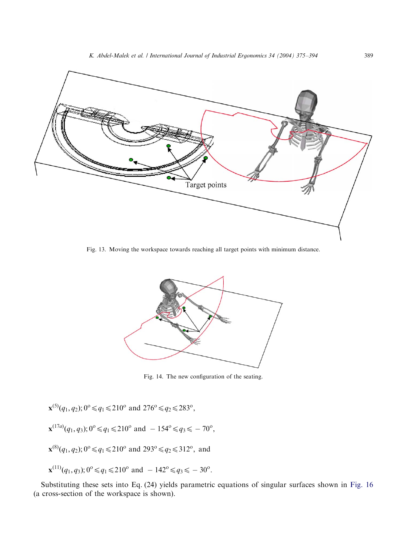<span id="page-14-0"></span>

Fig. 13. Moving the workspace towards reaching all target points with minimum distance.



Fig. 14. The new configuration of the seating.

$$
\mathbf{x}^{(5)}(q_1, q_2)
$$
;  $0^{\circ} \leq q_1 \leq 210^{\circ}$  and  $276^{\circ} \leq q_2 \leq 283^{\circ}$ ,

$$
\mathbf{x}^{(17a)}(q_1, q_3) ; 0^{\circ} \leq q_1 \leq 210^{\circ} \text{ and } -154^{\circ} \leq q_3 \leq -70^{\circ},
$$

 $\mathbf{x}^{(8)}(q_1, q_2)$ ;  $0^{\circ} \leq q_1 \leq 210^{\circ}$  and  $293^{\circ} \leq q_2 \leq 312^{\circ}$ , and

$$
\mathbf{x}^{(11)}(q_1, q_3)
$$
;  $0^{\circ} \leq q_1 \leq 210^{\circ}$  and  $-142^{\circ} \leq q_3 \leq -30^{\circ}$ .

Substituting these sets into Eq. (24) yields parametric equations of singular surfaces shown in [Fig. 16](#page-15-0) (a cross-section of the workspace is shown).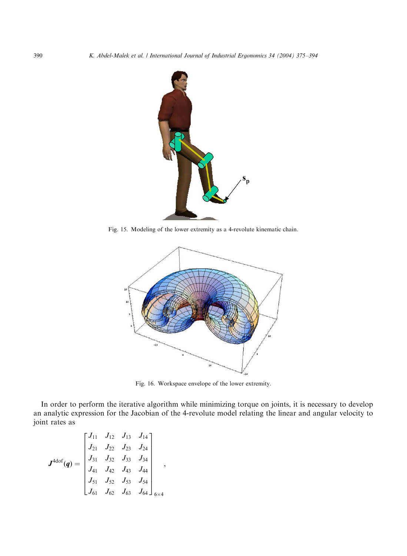<span id="page-15-0"></span>

Fig. 15. Modeling of the lower extremity as a 4-revolute kinematic chain.



Fig. 16. Workspace envelope of the lower extremity.

In order to perform the iterative algorithm while minimizing torque on joints, it is necessary to develop an analytic expression for the Jacobian of the 4-revolute model relating the linear and angular velocity to joint rates as

$$
J^{\text{4dof}}(q) = \begin{bmatrix} J_{11} & J_{12} & J_{13} & J_{14} \\ J_{21} & J_{22} & J_{23} & J_{24} \\ J_{31} & J_{32} & J_{33} & J_{34} \\ J_{41} & J_{42} & J_{43} & J_{44} \\ J_{51} & J_{52} & J_{53} & J_{54} \\ J_{61} & J_{62} & J_{63} & J_{64} \end{bmatrix}_{6 \times 4},
$$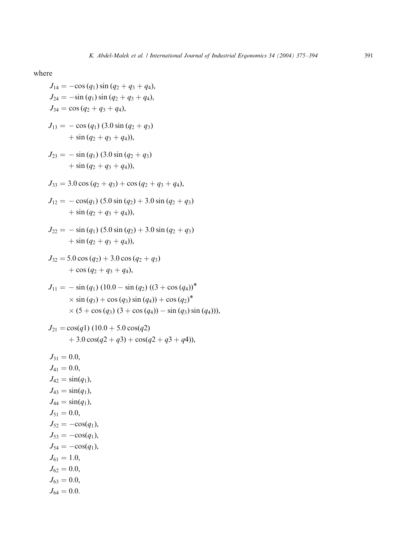where

$$
J_{14} = -\cos(q_1) \sin (q_2 + q_3 + q_4),
$$
  
\n
$$
J_{24} = -\sin(q_1) \sin (q_2 + q_3 + q_4),
$$
  
\n
$$
J_{34} = \cos(q_2 + q_3 + q_4),
$$
  
\n
$$
J_{13} = -\cos(q_1) (3.0 \sin (q_2 + q_3)
$$
  
\n
$$
+ \sin(q_2 + q_3 + q_4)),
$$
  
\n
$$
J_{23} = -\sin(q_1) (3.0 \sin (q_2 + q_3)
$$
  
\n
$$
+ \sin(q_2 + q_3 + q_4)),
$$
  
\n
$$
J_{33} = 3.0 \cos(q_2 + q_3) + \cos(q_2 + q_3 + q_4),
$$
  
\n
$$
J_{12} = -\cos(q_1) (5.0 \sin (q_2) + 3.0 \sin (q_2 + q_3)
$$
  
\n
$$
+ \sin(q_2 + q_3 + q_4)),
$$
  
\n
$$
J_{22} = -\sin(q_1) (5.0 \sin (q_2) + 3.0 \sin (q_2 + q_3)
$$
  
\n
$$
+ \sin(q_2 + q_3 + q_4)),
$$
  
\n
$$
J_{32} = 5.0 \cos(q_2) + 3.0 \cos(q_2 + q_3)
$$
  
\n
$$
+ \cos(q_2 + q_3 + q_4),
$$
  
\n
$$
J_{11} = -\sin(q_1) (10.0 - \sin(q_2) ((3 + \cos(q_4))^*)
$$
  
\n
$$
\times \sin(q_3) + \cos(q_3) \sin(q_4)) + \cos(q_2)^*
$$
  
\n
$$
\times (5 + \cos(q_3) (3 + \cos(q_4)) - \sin(q_3) \sin(q_4))),
$$
  
\n
$$
J_{21} = \cos(q_1) (10.0 + 5.0 \cos(q_2)
$$
  
\n
$$
+ 3.0 \cos(q_2 + q_3) + \cos(q_2 + q_3 + q_4)),
$$
  
\n
$$
J_{31} = 0.0,
$$
  
\n
$$
J_{41} = 0.
$$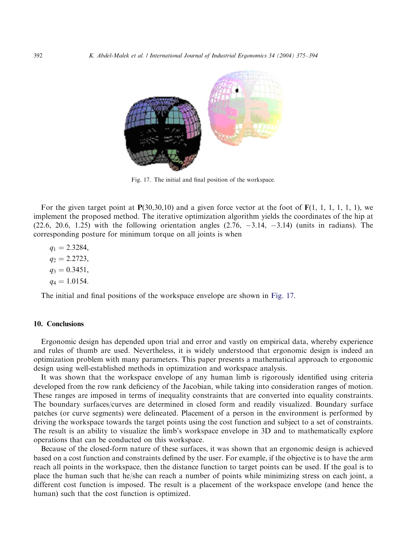

Fig. 17. The initial and final position of the workspace.

For the given target point at  $P(30,30,10)$  and a given force vector at the foot of  $F(1, 1, 1, 1, 1, 1)$ , we implement the proposed method. The iterative optimization algorithm yields the coordinates of the hip at  $(22.6, 20.6, 1.25)$  with the following orientation angles  $(2.76, -3.14, -3.14)$  (units in radians). The corresponding posture for minimum torque on all joints is when

 $q_1 = 2.3284$ ;  $q_2 = 2.2723$  $q_3 = 0.3451$ ,  $q_4 = 1.0154.$ 

The initial and final positions of the workspace envelope are shown in Fig. 17.

## 10. Conclusions

Ergonomic design has depended upon trial and error and vastly on empirical data, whereby experience and rules of thumb are used. Nevertheless, it is widely understood that ergonomic design is indeed an optimization problem with many parameters. This paper presents a mathematical approach to ergonomic design using well-established methods in optimization and workspace analysis.

It was shown that the workspace envelope of any human limbis rigorously identified using criteria developed from the row rank deficiency of the Jacobian, while taking into consideration ranges of motion. These ranges are imposed in terms of inequality constraints that are converted into equality constraints. The boundary surfaces/curves are determined in closed form and readily visualized. Boundary surface patches (or curve segments) were delineated. Placement of a person in the environment is performed by driving the workspace towards the target points using the cost function and subject to a set of constraints. The result is an ability to visualize the limb's workspace envelope in 3D and to mathematically explore operations that can be conducted on this workspace.

Because of the closed-form nature of these surfaces, it was shown that an ergonomic design is achieved based on a cost function and constraints defined by the user. For example, if the objective is to have the arm reach all points in the workspace, then the distance function to target points can be used. If the goal is to place the human such that he/she can reach a number of points while minimizing stress on each joint, a different cost function is imposed. The result is a placement of the workspace envelope (and hence the human) such that the cost function is optimized.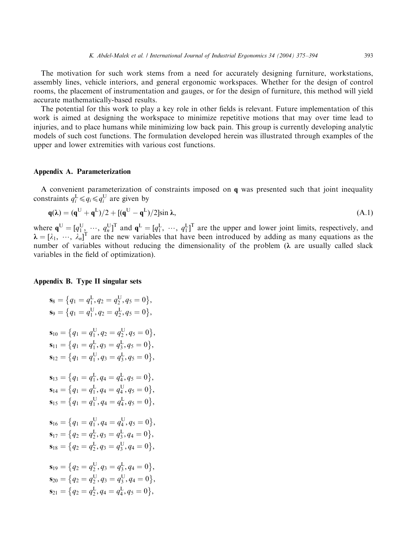The motivation for such work stems from a need for accurately designing furniture, workstations, assembly lines, vehicle interiors, and general ergonomic workspaces. Whether for the design of control rooms, the placement of instrumentation and gauges, or for the design of furniture, this method will yield accurate mathematically-based results.

The potential for this work to play a key role in other fields is relevant. Future implementation of this work is aimed at designing the workspace to minimize repetitive motions that may over time lead to injuries, and to place humans while minimizing low back pain. This group is currently developing analytic models of such cost functions. The formulation developed herein was illustrated through examples of the upper and lower extremities with various cost functions.

# Appendix A. Parameterization

A convenient parameterization of constraints imposed on q was presented such that joint inequality constraints  $q_i^{\text{L}} \leq q_i \leq q_i^{\text{U}}$  are given by

$$
\mathbf{q}(\lambda) = (\mathbf{q}^{\mathrm{U}} + \mathbf{q}^{\mathrm{L}})/2 + [(\mathbf{q}^{\mathrm{U}} - \mathbf{q}^{\mathrm{L}})/2]\sin \lambda, \tag{A.1}
$$

where  $\mathbf{q}^{\text{U}} = [q_1^{\text{U}}, \dots, q_n^{\text{U}}]^{\text{T}}$  and  $\mathbf{q}^{\text{L}} = [q_1^{\text{L}}, \dots, q_1^{\text{L}}]^{\text{T}}$  are the upper and lower joint limits, respectively, and  $\lambda = [\lambda_1, \dots, \lambda_n]^T$  are the new variables that have been introduced by adding as many equations as the number of variables without reducing the dimensionality of the problem  $(\lambda)$  are usually called slack variables in the field of optimization).

# Appendix B. Type II singular sets

$$
\mathbf{s}_8 = \{q_1 = q_1^L, q_2 = q_2^U, q_5 = 0\},
$$
  
\n
$$
\mathbf{s}_9 = \{q_1 = q_1^U, q_2 = q_2^L, q_5 = 0\},
$$
  
\n
$$
\mathbf{s}_{10} = \{q_1 = q_1^U, q_2 = q_2^U, q_5 = 0\},
$$
  
\n
$$
\mathbf{s}_{11} = \{q_1 = q_1^L, q_3 = q_3^L, q_5 = 0\},
$$
  
\n
$$
\mathbf{s}_{12} = \{q_1 = q_1^U, q_3 = q_3^L, q_5 = 0\},
$$
  
\n
$$
\mathbf{s}_{13} = \{q_1 = q_1^L, q_4 = q_4^L, q_5 = 0\},
$$
  
\n
$$
\mathbf{s}_{14} = \{q_1 = q_1^U, q_4 = q_4^U, q_5 = 0\},
$$
  
\n
$$
\mathbf{s}_{15} = \{q_1 = q_1^U, q_4 = q_4^U, q_5 = 0\},
$$
  
\n
$$
\mathbf{s}_{16} = \{q_1 = q_1^U, q_4 = q_4^U, q_5 = 0\},
$$
  
\n
$$
\mathbf{s}_{17} = \{q_2 = q_2^L, q_3 = q_3^L, q_4 = 0\},
$$
  
\n
$$
\mathbf{s}_{18} = \{q_2 = q_2^U, q_3 = q_3^U, q_4 = 0\},
$$
  
\n
$$
\mathbf{s}_{20} = \{q_2 = q_2^U, q_3 = q_3^U, q_4 = 0\},
$$
  
\n
$$
\mathbf{s}_{20} = \{q_2 = q_2^U, q_3 = q_3^U, q_4 = 0\},
$$
  
\n
$$
\mathbf{s}_{21} = \{q_2 = q_2^L, q_4 = q_4^L, q_5 = 0\},
$$